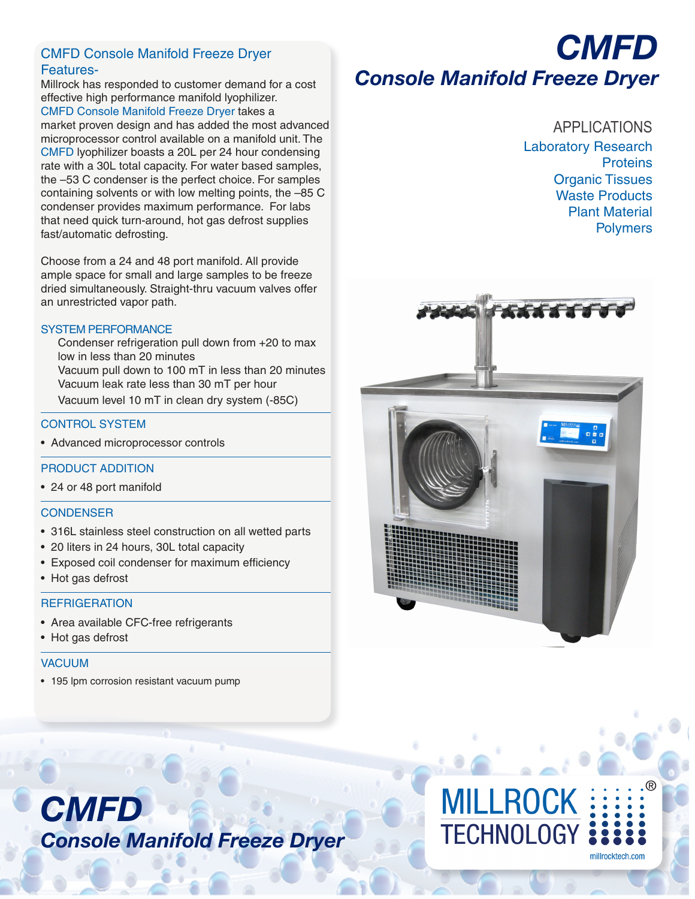# CMFD Console Manifold Freeze Dryer Features-

Millrock has responded to customer demand for a cost effective high performance manifold lyophilizer. CMFD Console Manifold Freeze Dryer takes a market proven design and has added the most advanced

microprocessor control available on a manifold unit. The CMFD lyophilizer boasts a 20L per 24 hour condensing rate with a 30L total capacity. For water based samples, the –53 C condenser is the perfect choice. For samples containing solvents or with low melting points, the –85 C condenser provides maximum performance. For labs that need quick turn-around, hot gas defrost supplies fast/automatic defrosting.

Choose from a 24 and 48 port manifold. All provide ample space for small and large samples to be freeze dried simultaneously. Straight-thru vacuum valves offer an unrestricted vapor path.

#### SYSTEM PERFORMANCE

Condenser refrigeration pull down from +20 to max low in less than 20 minutes Vacuum pull down to 100 mT in less than 20 minutes Vacuum leak rate less than 30 mT per hour Vacuum level 10 mT in clean dry system (-85C)

# CONTROL SYSTEM

• Advanced microprocessor controls

# PRODUCT ADDITION

• 24 or 48 port manifold

#### **CONDENSER**

- 316L stainless steel construction on all wetted parts
- 20 liters in 24 hours, 30L total capacity
- Exposed coil condenser for maximum efficiency
- Hot gas defrost

# **REFRIGERATION**

- Area available CFC-free refrigerants
- Hot gas defrost

# VACUUM

• 195 lpm corrosion resistant vacuum pump

# *CMFD Console Manifold Freeze Dryer*

APPLICATIONS Laboratory Research **Proteins** Organic Tissues Waste Products Plant Material Polymers



# *CMFD Console Manifold Freeze Dryer*

# **MILLROCK TECHNOLOGY** millrocktech.com

®